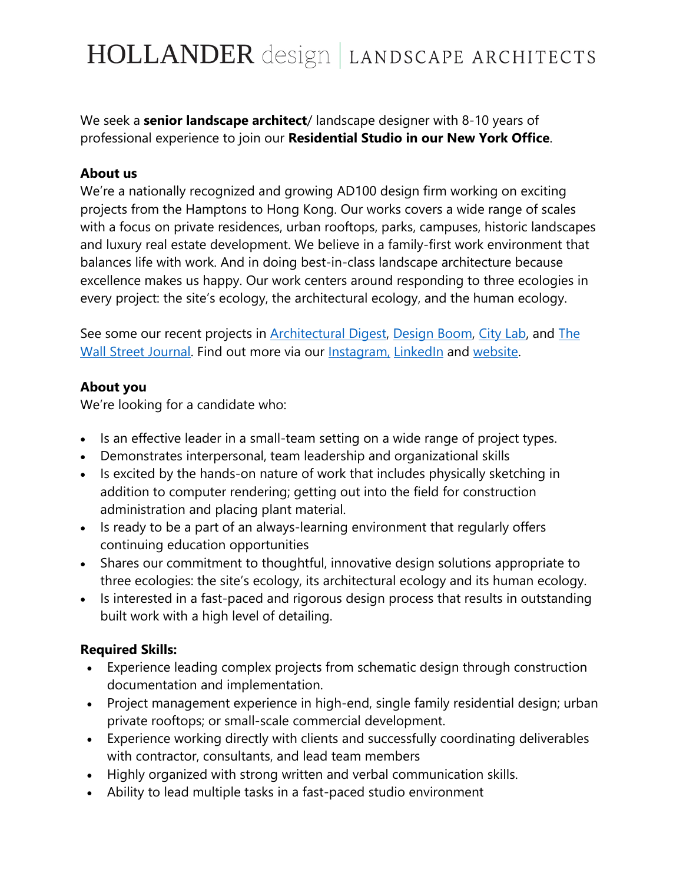We seek a **senior landscape architect**/ landscape designer with 8-10 years of professional experience to join our **Residential Studio in our New York Office**.

## **About us**

We're a nationally recognized and growing AD100 design firm working on exciting projects from the Hamptons to Hong Kong. Our works covers a wide range of scales with a focus on private residences, urban rooftops, parks, campuses, historic landscapes and luxury real estate development. We believe in a family-first work environment that balances life with work. And in doing best-in-class landscape architecture because excellence makes us happy. Our work centers around responding to three ecologies in every project: the site's ecology, the architectural ecology, and the human ecology.

See some our recent projects in **Architectural Digest**, [Design Boom,](https://www.designboom.com/architecture/heatherwick-lantern-house-secret-garden-new-york-city-06-26-2021/) [City Lab,](https://www.bloomberg.com/news/articles/2019-09-06/the-exacting-design-of-the-kennedy-center-reach) and The [Wall Street Journal.](https://www.wsj.com/articles/the-new-trend-in-home-gardenslandscaping-to-calm-anxiety-11615546871) Find out more via our [Instagram,](https://www.instagram.com/hollander_design/) [LinkedIn](https://www.linkedin.com/company/hollander-design/) and [website.](http://www.hollanderdesign.com/)

### **About you**

We're looking for a candidate who:

- Is an effective leader in a small-team setting on a wide range of project types.
- Demonstrates interpersonal, team leadership and organizational skills
- Is excited by the hands-on nature of work that includes physically sketching in addition to computer rendering; getting out into the field for construction administration and placing plant material.
- Is ready to be a part of an always-learning environment that regularly offers continuing education opportunities
- Shares our commitment to thoughtful, innovative design solutions appropriate to three ecologies: the site's ecology, its architectural ecology and its human ecology.
- Is interested in a fast-paced and rigorous design process that results in outstanding built work with a high level of detailing.

## **Required Skills:**

- Experience leading complex projects from schematic design through construction documentation and implementation.
- Project management experience in high-end, single family residential design; urban private rooftops; or small-scale commercial development.
- Experience working directly with clients and successfully coordinating deliverables with contractor, consultants, and lead team members
- Highly organized with strong written and verbal communication skills.
- Ability to lead multiple tasks in a fast-paced studio environment